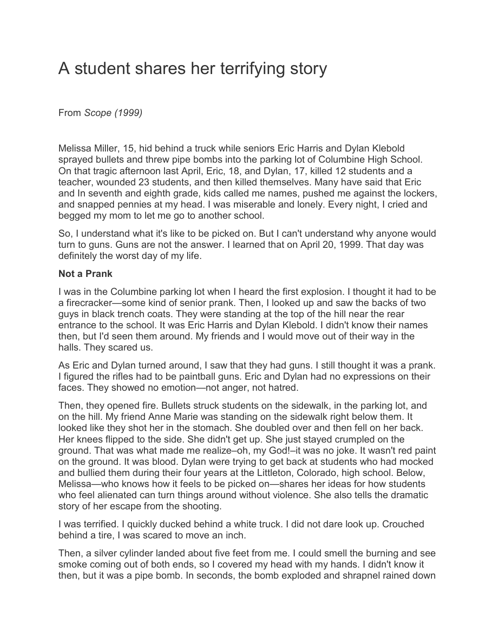## A student shares her terrifying story

From *Scope (1999)*

Melissa Miller, 15, hid behind a truck while seniors Eric Harris and Dylan Klebold sprayed bullets and threw pipe bombs into the parking lot of Columbine High School. On that tragic afternoon last April, Eric, 18, and Dylan, 17, killed 12 students and a teacher, wounded 23 students, and then killed themselves. Many have said that Eric and In seventh and eighth grade, kids called me names, pushed me against the lockers, and snapped pennies at my head. I was miserable and lonely. Every night, I cried and begged my mom to let me go to another school.

So, I understand what it's like to be picked on. But I can't understand why anyone would turn to guns. Guns are not the answer. I learned that on April 20, 1999. That day was definitely the worst day of my life.

## **Not a Prank**

I was in the Columbine parking lot when I heard the first explosion. I thought it had to be a firecracker—some kind of senior prank. Then, I looked up and saw the backs of two guys in black trench coats. They were standing at the top of the hill near the rear entrance to the school. It was Eric Harris and Dylan Klebold. I didn't know their names then, but I'd seen them around. My friends and I would move out of their way in the halls. They scared us.

As Eric and Dylan turned around, I saw that they had guns. I still thought it was a prank. I figured the rifles had to be paintball guns. Eric and Dylan had no expressions on their faces. They showed no emotion—not anger, not hatred.

Then, they opened fire. Bullets struck students on the sidewalk, in the parking lot, and on the hill. My friend Anne Marie was standing on the sidewalk right below them. It looked like they shot her in the stomach. She doubled over and then fell on her back. Her knees flipped to the side. She didn't get up. She just stayed crumpled on the ground. That was what made me realize–oh, my God!–it was no joke. It wasn't red paint on the ground. It was blood. Dylan were trying to get back at students who had mocked and bullied them during their four years at the Littleton, Colorado, high school. Below, Melissa—who knows how it feels to be picked on—shares her ideas for how students who feel alienated can turn things around without violence. She also tells the dramatic story of her escape from the shooting.

I was terrified. I quickly ducked behind a white truck. I did not dare look up. Crouched behind a tire, I was scared to move an inch.

Then, a silver cylinder landed about five feet from me. I could smell the burning and see smoke coming out of both ends, so I covered my head with my hands. I didn't know it then, but it was a pipe bomb. In seconds, the bomb exploded and shrapnel rained down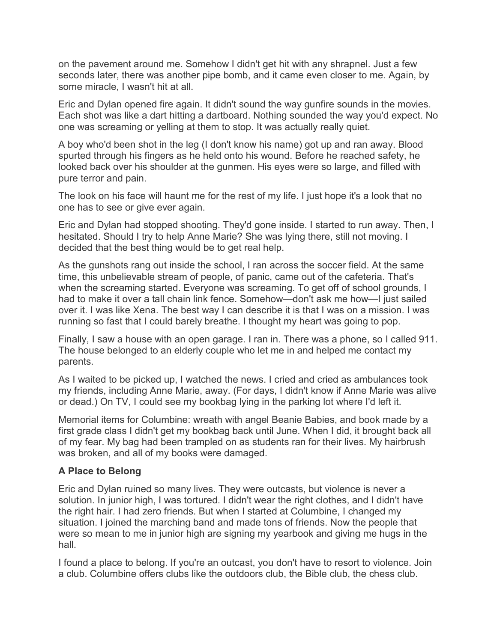on the pavement around me. Somehow I didn't get hit with any shrapnel. Just a few seconds later, there was another pipe bomb, and it came even closer to me. Again, by some miracle, I wasn't hit at all.

Eric and Dylan opened fire again. It didn't sound the way gunfire sounds in the movies. Each shot was like a dart hitting a dartboard. Nothing sounded the way you'd expect. No one was screaming or yelling at them to stop. It was actually really quiet.

A boy who'd been shot in the leg (I don't know his name) got up and ran away. Blood spurted through his fingers as he held onto his wound. Before he reached safety, he looked back over his shoulder at the gunmen. His eyes were so large, and filled with pure terror and pain.

The look on his face will haunt me for the rest of my life. I just hope it's a look that no one has to see or give ever again.

Eric and Dylan had stopped shooting. They'd gone inside. I started to run away. Then, I hesitated. Should I try to help Anne Marie? She was lying there, still not moving. I decided that the best thing would be to get real help.

As the gunshots rang out inside the school, I ran across the soccer field. At the same time, this unbelievable stream of people, of panic, came out of the cafeteria. That's when the screaming started. Everyone was screaming. To get off of school grounds, I had to make it over a tall chain link fence. Somehow—don't ask me how—I just sailed over it. I was like Xena. The best way I can describe it is that I was on a mission. I was running so fast that I could barely breathe. I thought my heart was going to pop.

Finally, I saw a house with an open garage. I ran in. There was a phone, so I called 911. The house belonged to an elderly couple who let me in and helped me contact my parents.

As I waited to be picked up, I watched the news. I cried and cried as ambulances took my friends, including Anne Marie, away. (For days, I didn't know if Anne Marie was alive or dead.) On TV, I could see my bookbag lying in the parking lot where I'd left it.

Memorial items for Columbine: wreath with angel Beanie Babies, and book made by a first grade class I didn't get my bookbag back until June. When I did, it brought back all of my fear. My bag had been trampled on as students ran for their lives. My hairbrush was broken, and all of my books were damaged.

## **A Place to Belong**

Eric and Dylan ruined so many lives. They were outcasts, but violence is never a solution. In junior high, I was tortured. I didn't wear the right clothes, and I didn't have the right hair. I had zero friends. But when I started at Columbine, I changed my situation. I joined the marching band and made tons of friends. Now the people that were so mean to me in junior high are signing my yearbook and giving me hugs in the hall.

I found a place to belong. If you're an outcast, you don't have to resort to violence. Join a club. Columbine offers clubs like the outdoors club, the Bible club, the chess club.